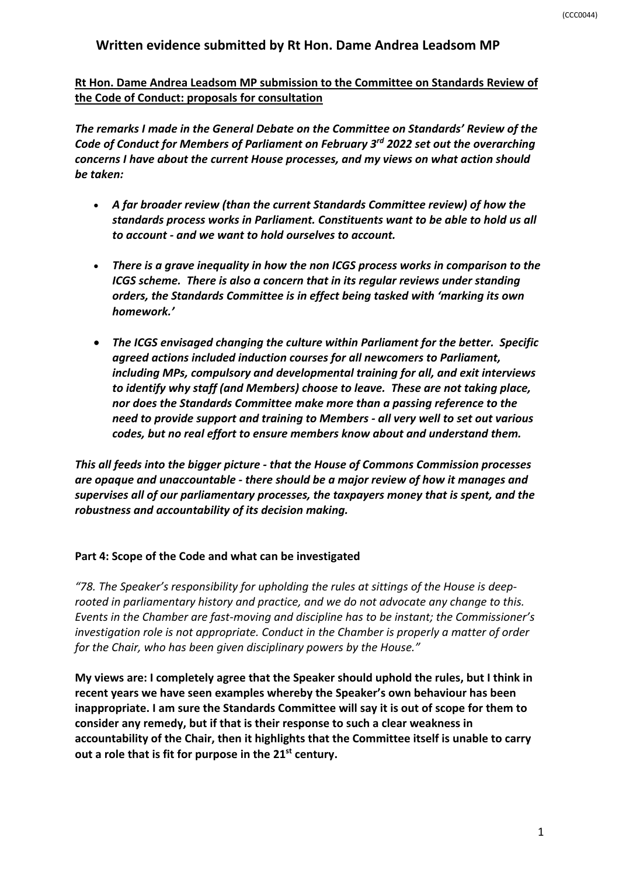# **Written evidence submitted by Rt Hon. Dame Andrea Leadsom MP**

**Rt Hon. Dame Andrea Leadsom MP submission to the Committee on Standards Review of the Code of Conduct: proposals for consultation**

*The remarks I made in the General Debate on the Committee on Standards' Review of the Code of Conduct for Members of Parliament on February 3rd 2022 set out the overarching concerns I have about the current House processes, and my views on what action should be taken:*

- *A far broader review (than the current Standards Committee review) of how the standards process works in Parliament. Constituents want to be able to hold us all to account - and we want to hold ourselves to account.*
- *There is a grave inequality in how the non ICGS process works in comparison to the ICGS scheme. There is also a concern that in its regular reviews under standing orders, the Standards Committee is in effect being tasked with 'marking its own homework.'*
- *The ICGS envisaged changing the culture within Parliament for the better. Specific agreed actions included induction courses for all newcomers to Parliament, including MPs, compulsory and developmental training for all, and exit interviews to identify why staff (and Members) choose to leave. These are not taking place, nor does the Standards Committee make more than a passing reference to the need to provide support and training to Members - all very well to set out various codes, but no real effort to ensure members know about and understand them.*

*This all feeds into the bigger picture - that the House of Commons Commission processes are opaque and unaccountable - there should be a major review of how it manages and supervises all of our parliamentary processes, the taxpayers money that is spent, and the robustness and accountability of its decision making.*

#### **Part 4: Scope of the Code and what can be investigated**

*"78. The Speaker's responsibility for upholding the rules at sittings of the House is deeprooted in parliamentary history and practice, and we do not advocate any change to this. Events in the Chamber are fast-moving and discipline has to be instant; the Commissioner's investigation role is not appropriate. Conduct in the Chamber is properly a matter of order for the Chair, who has been given disciplinary powers by the House."*

**My views are: I completely agree that the Speaker should uphold the rules, but I think in recent years we have seen examples whereby the Speaker's own behaviour has been inappropriate. I am sure the Standards Committee will say it is out of scope for them to consider any remedy, but if that is their response to such a clear weakness in accountability of the Chair, then it highlights that the Committee itself is unable to carry out a role that is fit for purpose in the 21st century.**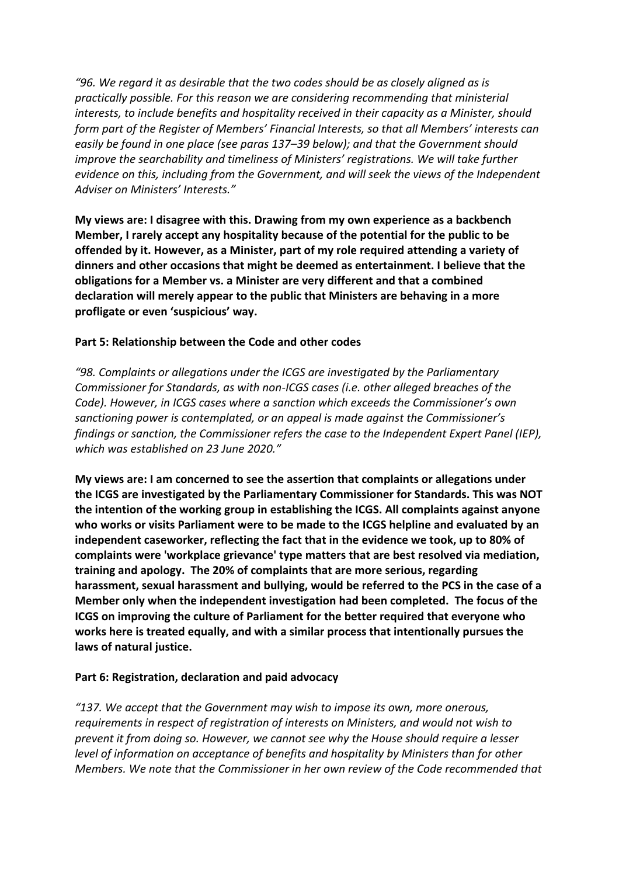*"96. We regard it as desirable that the two codes should be as closely aligned as is practically possible. For this reason we are considering recommending that ministerial interests, to include benefits and hospitality received in their capacity as a Minister, should form part of the Register of Members' Financial Interests, so that all Members' interests can easily be found in one place (see paras 137–39 below); and that the Government should improve the searchability and timeliness of Ministers' registrations. We will take further evidence on this, including from the Government, and will seek the views of the Independent Adviser on Ministers' Interests."*

**My views are: I disagree with this. Drawing from my own experience as a backbench Member, I rarely accept any hospitality because of the potential for the public to be offended by it. However, as a Minister, part of my role required attending a variety of dinners and other occasions that might be deemed as entertainment. I believe that the obligations for a Member vs. a Minister are very different and that a combined declaration will merely appear to the public that Ministers are behaving in a more profligate or even 'suspicious' way.**

## **Part 5: Relationship between the Code and other codes**

*"98. Complaints or allegations under the ICGS are investigated by the Parliamentary Commissioner for Standards, as with non-ICGS cases (i.e. other alleged breaches of the Code). However, in ICGS cases where a sanction which exceeds the Commissioner's own sanctioning power is contemplated, or an appeal is made against the Commissioner's findings or sanction, the Commissioner refers the case to the Independent Expert Panel (IEP), which was established on 23 June 2020."*

**My views are: I am concerned to see the assertion that complaints or allegations under the ICGS are investigated by the Parliamentary Commissioner for Standards. This was NOT the intention of the working group in establishing the ICGS. All complaints against anyone who works or visits Parliament were to be made to the ICGS helpline and evaluated by an independent caseworker, reflecting the fact that in the evidence we took, up to 80% of complaints were 'workplace grievance' type matters that are best resolved via mediation, training and apology. The 20% of complaints that are more serious, regarding harassment, sexual harassment and bullying, would be referred to the PCS in the case of a Member only when the independent investigation had been completed. The focus of the ICGS on improving the culture of Parliament for the better required that everyone who works here is treated equally, and with a similar process that intentionally pursues the laws of natural justice.** 

#### **Part 6: Registration, declaration and paid advocacy**

*"137. We accept that the Government may wish to impose its own, more onerous, requirements in respect of registration of interests on Ministers, and would not wish to prevent it from doing so. However, we cannot see why the House should require a lesser level of information on acceptance of benefits and hospitality by Ministers than for other Members. We note that the Commissioner in her own review of the Code recommended that*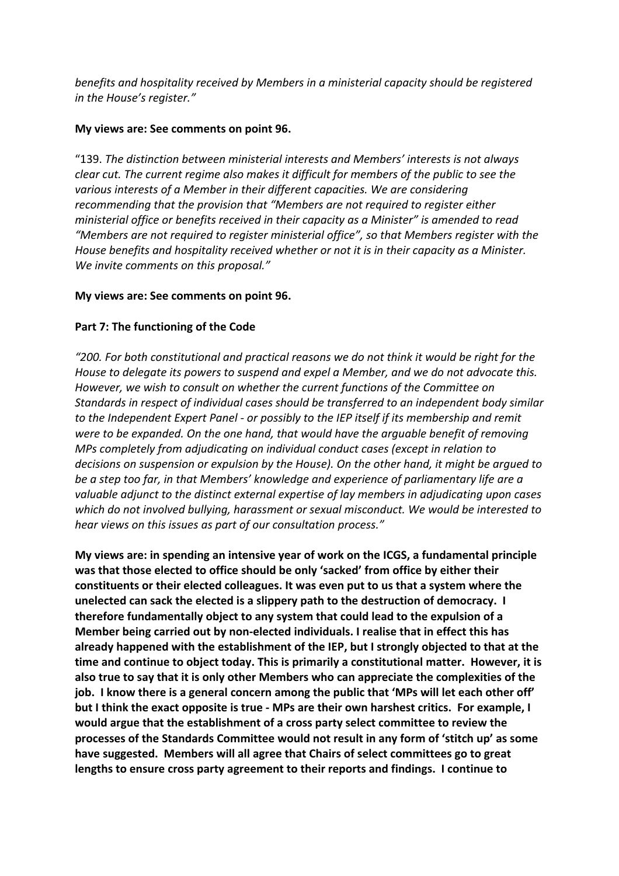*benefits and hospitality received by Members in a ministerial capacity should be registered in the House's register."*

## **My views are: See comments on point 96.**

"139. *The distinction between ministerial interests and Members' interests is not always clear cut. The current regime also makes it difficult for members of the public to see the various interests of a Member in their different capacities. We are considering recommending that the provision that "Members are not required to register either ministerial office or benefits received in their capacity as a Minister" is amended to read "Members are not required to register ministerial office", so that Members register with the House benefits and hospitality received whether or not it is in their capacity as a Minister. We invite comments on this proposal."*

### **My views are: See comments on point 96.**

## **Part 7: The functioning of the Code**

*"200. For both constitutional and practical reasons we do not think it would be right for the House to delegate its powers to suspend and expel a Member, and we do not advocate this. However, we wish to consult on whether the current functions of the Committee on Standards in respect of individual cases should be transferred to an independent body similar to the Independent Expert Panel - or possibly to the IEP itself if its membership and remit were to be expanded. On the one hand, that would have the arguable benefit of removing MPs completely from adjudicating on individual conduct cases (except in relation to decisions on suspension or expulsion by the House). On the other hand, it might be argued to be a step too far, in that Members' knowledge and experience of parliamentary life are a valuable adjunct to the distinct external expertise of lay members in adjudicating upon cases which do not involved bullying, harassment or sexual misconduct. We would be interested to hear views on this issues as part of our consultation process."*

**My views are: in spending an intensive year of work on the ICGS, a fundamental principle was that those elected to office should be only 'sacked' from office by either their constituents or their elected colleagues. It was even put to us that a system where the unelected can sack the elected is a slippery path to the destruction of democracy. I therefore fundamentally object to any system that could lead to the expulsion of a Member being carried out by non-elected individuals. I realise that in effect this has already happened with the establishment of the IEP, but I strongly objected to that at the time and continue to object today. This is primarily a constitutional matter. However, it is also true to say that it is only other Members who can appreciate the complexities of the job. I know there is a general concern among the public that 'MPs will let each other off' but I think the exact opposite is true - MPs are their own harshest critics. For example, I would argue that the establishment of a cross party select committee to review the processes of the Standards Committee would not result in any form of 'stitch up' as some have suggested. Members will all agree that Chairs of select committees go to great lengths to ensure cross party agreement to their reports and findings. I continue to**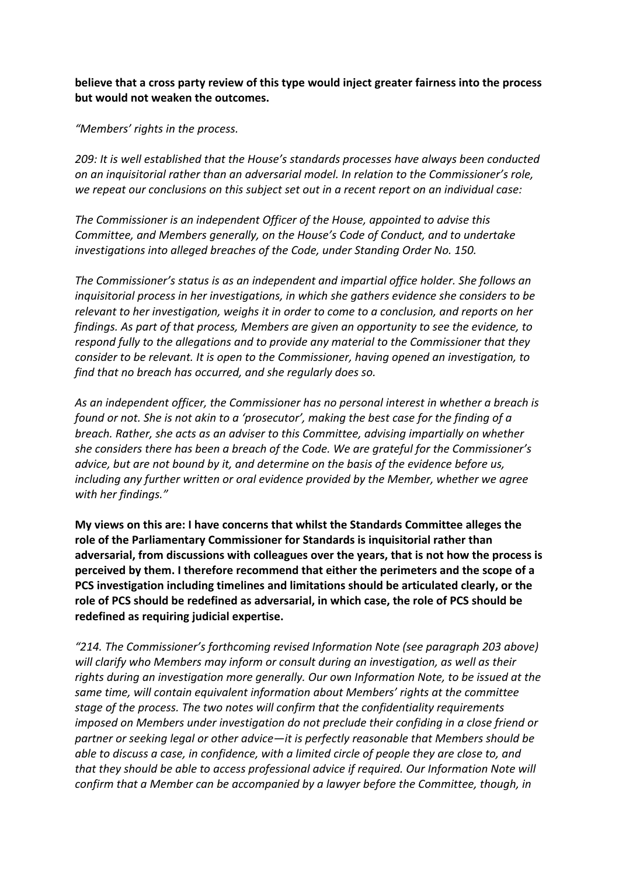**believe that a cross party review of this type would inject greater fairness into the process but would not weaken the outcomes.**

*"Members' rights in the process.*

*209: It is well established that the House's standards processes have always been conducted on an inquisitorial rather than an adversarial model. In relation to the Commissioner's role, we repeat our conclusions on this subject set out in a recent report on an individual case:*

*The Commissioner is an independent Officer of the House, appointed to advise this Committee, and Members generally, on the House's Code of Conduct, and to undertake investigations into alleged breaches of the Code, under Standing Order No. 150.*

*The Commissioner's status is as an independent and impartial office holder. She follows an inquisitorial process in her investigations, in which she gathers evidence she considers to be relevant to her investigation, weighs it in order to come to a conclusion, and reports on her findings. As part of that process, Members are given an opportunity to see the evidence, to respond fully to the allegations and to provide any material to the Commissioner that they consider to be relevant. It is open to the Commissioner, having opened an investigation, to find that no breach has occurred, and she regularly does so.*

*As an independent officer, the Commissioner has no personal interest in whether a breach is found or not. She is not akin to a 'prosecutor', making the best case for the finding of a breach. Rather, she acts as an adviser to this Committee, advising impartially on whether she considers there has been a breach of the Code. We are grateful for the Commissioner's advice, but are not bound by it, and determine on the basis of the evidence before us, including any further written or oral evidence provided by the Member, whether we agree with her findings."*

**My views on this are: I have concerns that whilst the Standards Committee alleges the role of the Parliamentary Commissioner for Standards is inquisitorial rather than adversarial, from discussions with colleagues over the years, that is not how the process is perceived by them. I therefore recommend that either the perimeters and the scope of a PCS investigation including timelines and limitations should be articulated clearly, or the role of PCS should be redefined as adversarial, in which case, the role of PCS should be redefined as requiring judicial expertise.**

*"214. The Commissioner's forthcoming revised Information Note (see paragraph 203 above) will clarify who Members may inform or consult during an investigation, as well as their rights during an investigation more generally. Our own Information Note, to be issued at the same time, will contain equivalent information about Members' rights at the committee stage of the process. The two notes will confirm that the confidentiality requirements imposed on Members under investigation do not preclude their confiding in a close friend or partner or seeking legal or other advice—it is perfectly reasonable that Members should be able to discuss a case, in confidence, with a limited circle of people they are close to, and that they should be able to access professional advice if required. Our Information Note will confirm that a Member can be accompanied by a lawyer before the Committee, though, in*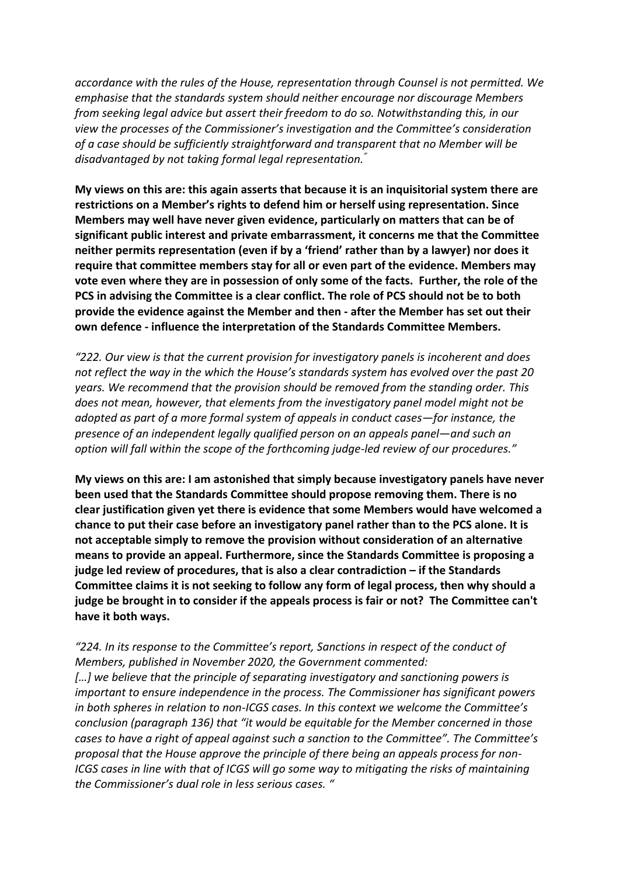*accordance with the rules of the House, representation through Counsel is not permitted. We emphasise that the standards system should neither encourage nor discourage Members from seeking legal advice but assert their freedom to do so. Notwithstanding this, in our view the processes of the Commissioner's investigation and the Committee's consideration of a case should be sufficiently straightforward and transparent that no Member will be disadvantaged by not taking formal legal representation."*

**My views on this are: this again asserts that because it is an inquisitorial system there are restrictions on a Member's rights to defend him or herself using representation. Since Members may well have never given evidence, particularly on matters that can be of significant public interest and private embarrassment, it concerns me that the Committee neither permits representation (even if by a 'friend' rather than by a lawyer) nor does it require that committee members stay for all or even part of the evidence. Members may vote even where they are in possession of only some of the facts. Further, the role of the PCS in advising the Committee is a clear conflict. The role of PCS should not be to both provide the evidence against the Member and then - after the Member has set out their own defence - influence the interpretation of the Standards Committee Members.** 

*"222. Our view is that the current provision for investigatory panels is incoherent and does not reflect the way in the which the House's standards system has evolved over the past 20 years. We recommend that the provision should be removed from the standing order. This does not mean, however, that elements from the investigatory panel model might not be adopted as part of a more formal system of appeals in conduct cases—for instance, the presence of an independent legally qualified person on an appeals panel—and such an option will fall within the scope of the forthcoming judge-led review of our procedures."*

**My views on this are: I am astonished that simply because investigatory panels have never been used that the Standards Committee should propose removing them. There is no clear justification given yet there is evidence that some Members would have welcomed a chance to put their case before an investigatory panel rather than to the PCS alone. It is not acceptable simply to remove the provision without consideration of an alternative means to provide an appeal. Furthermore, since the Standards Committee is proposing a judge led review of procedures, that is also a clear contradiction – if the Standards Committee claims it is not seeking to follow any form of legal process, then why should a judge be brought in to consider if the appeals process is fair or not? The Committee can't have it both ways.**

*"224. In its response to the Committee's report, Sanctions in respect of the conduct of Members, published in November 2020, the Government commented: […] we believe that the principle of separating investigatory and sanctioning powers is important to ensure independence in the process. The Commissioner has significant powers in both spheres in relation to non-ICGS cases. In this context we welcome the Committee's conclusion (paragraph 136) that "it would be equitable for the Member concerned in those cases to have a right of appeal against such a sanction to the Committee". The Committee's proposal that the House approve the principle of there being an appeals process for non-ICGS cases in line with that of ICGS will go some way to mitigating the risks of maintaining the Commissioner's dual role in less serious cases. "*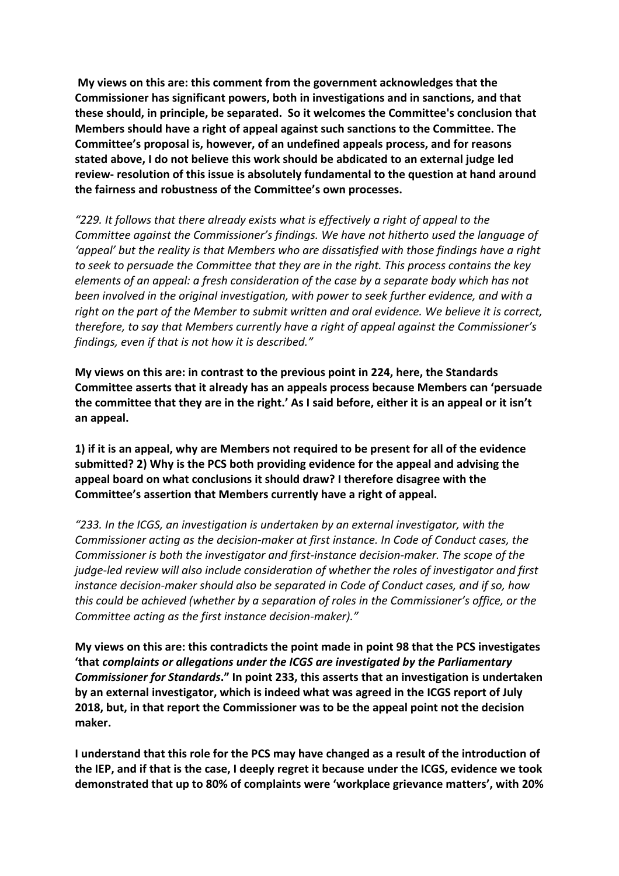**My views on this are: this comment from the government acknowledges that the Commissioner has significant powers, both in investigations and in sanctions, and that these should, in principle, be separated. So it welcomes the Committee's conclusion that Members should have a right of appeal against such sanctions to the Committee. The Committee's proposal is, however, of an undefined appeals process, and for reasons stated above, I do not believe this work should be abdicated to an external judge led review- resolution of this issue is absolutely fundamental to the question at hand around the fairness and robustness of the Committee's own processes.**

*"229. It follows that there already exists what is effectively a right of appeal to the Committee against the Commissioner's findings. We have not hitherto used the language of 'appeal' but the reality is that Members who are dissatisfied with those findings have a right to seek to persuade the Committee that they are in the right. This process contains the key elements of an appeal: a fresh consideration of the case by a separate body which has not been involved in the original investigation, with power to seek further evidence, and with a right on the part of the Member to submit written and oral evidence. We believe it is correct, therefore, to say that Members currently have a right of appeal against the Commissioner's findings, even if that is not how it is described."*

**My views on this are: in contrast to the previous point in 224, here, the Standards Committee asserts that it already has an appeals process because Members can 'persuade the committee that they are in the right.' As I said before, either it is an appeal or it isn't an appeal.**

**1) if it is an appeal, why are Members not required to be present for all of the evidence submitted? 2) Why is the PCS both providing evidence for the appeal and advising the appeal board on what conclusions it should draw? I therefore disagree with the Committee's assertion that Members currently have a right of appeal.**

*"233. In the ICGS, an investigation is undertaken by an external investigator, with the Commissioner acting as the decision-maker at first instance. In Code of Conduct cases, the Commissioner is both the investigator and first-instance decision-maker. The scope of the judge-led review will also include consideration of whether the roles of investigator and first instance decision-maker should also be separated in Code of Conduct cases, and if so, how this could be achieved (whether by a separation of roles in the Commissioner's office, or the Committee acting as the first instance decision-maker)."*

**My views on this are: this contradicts the point made in point 98 that the PCS investigates 'that** *complaints or allegations under the ICGS are investigated by the Parliamentary Commissioner for Standards***." In point 233, this asserts that an investigation is undertaken by an external investigator, which is indeed what was agreed in the ICGS report of July 2018, but, in that report the Commissioner was to be the appeal point not the decision maker.**

**I understand that this role for the PCS may have changed as a result of the introduction of the IEP, and if that is the case, I deeply regret it because under the ICGS, evidence we took demonstrated that up to 80% of complaints were 'workplace grievance matters', with 20%**